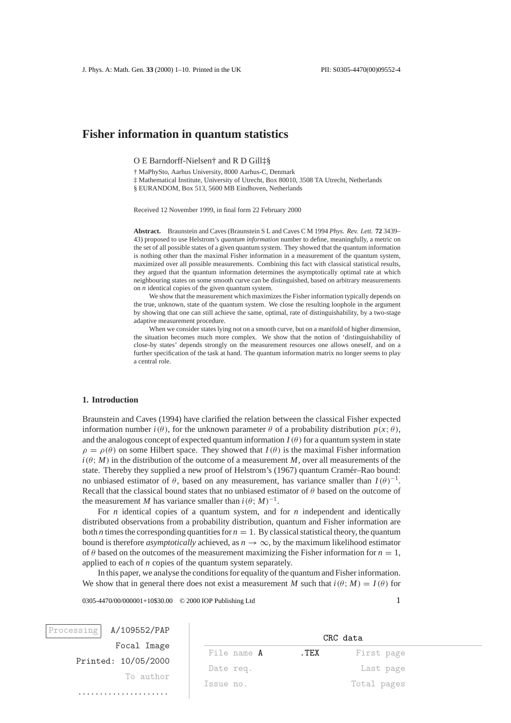# **Fisher information in quantum statistics**

O E Barndorff-Nielsen† and R D Gill‡§

† MaPhySto, Aarhus University, 8000 Aarhus-C, Denmark

‡ Mathematical Institute, University of Utrecht, Box 80010, 3508 TA Utrecht, Netherlands § EURANDOM, Box 513, 5600 MB Eindhoven, Netherlands

Received 12 November 1999, in final form 22 February 2000

**Abstract.** Braunstein and Caves (Braunstein S L and Caves C M 1994 *Phys. Rev. Lett.* **72** 3439– 43) proposed to use Helstrom's *quantum information* number to define, meaningfully, a metric on the set of all possible states of a given quantum system. They showed that the quantum information is nothing other than the maximal Fisher information in a measurement of the quantum system, maximized over all possible measurements. Combining this fact with classical statistical results, they argued that the quantum information determines the asymptotically optimal rate at which neighbouring states on some smooth curve can be distinguished, based on arbitrary measurements on *n* identical copies of the given quantum system.

We show that the measurement which maximizes the Fisher information typically depends on the true, unknown, state of the quantum system. We close the resulting loophole in the argument by showing that one can still achieve the same, optimal, rate of distinguishability, by a two-stage adaptive measurement procedure.

When we consider states lying not on a smooth curve, but on a manifold of higher dimension, the situation becomes much more complex. We show that the notion of 'distinguishability of close-by states' depends strongly on the measurement resources one allows oneself, and on a further specification of the task at hand. The quantum information matrix no longer seems to play a central role.

# **1. Introduction**

Braunstein and Caves (1994) have clarified the relation between the classical Fisher expected information number  $i(\theta)$ , for the unknown parameter  $\theta$  of a probability distribution  $p(x; \theta)$ , and the analogous concept of expected quantum information  $I(\theta)$  for a quantum system in state  $\rho = \rho(\theta)$  on some Hilbert space. They showed that  $I(\theta)$  is the maximal Fisher information  $i(\theta; M)$  in the distribution of the outcome of a measurement *M*, over all measurements of the state. Thereby they supplied a new proof of Helstrom's (1967) quantum Cramér–Rao bound: no unbiased estimator of  $θ$ , based on any measurement, has variance smaller than  $I(θ)^{-1}$ . Recall that the classical bound states that no unbiased estimator of  $\theta$  based on the outcome of the measurement *M* has variance smaller than  $i(\theta; M)^{-1}$ .

For *n* identical copies of a quantum system, and for *n* independent and identically distributed observations from a probability distribution, quantum and Fisher information are both *n* times the corresponding quantities for  $n = 1$ . By classical statistical theory, the quantum bound is therefore *asymptotically* achieved, as  $n \to \infty$ , by the maximum likelihood estimator of  $\theta$  based on the outcomes of the measurement maximizing the Fisher information for  $n = 1$ , applied to each of *n* copies of the quantum system separately.

In this paper, we analyse the conditions for equality of the quantum and Fisher information. We show that in general there does not exist a measurement *M* such that  $i(\theta; M) = I(\theta)$  for

0305-4470/00/000001+10\$30.00 © 2000 IOP Publishing Ltd 1

| rocessing | A/IUYOOZ/PAP        |  |
|-----------|---------------------|--|
|           | Focal Image         |  |
|           | Printed: 10/05/2000 |  |
|           | To author           |  |
|           |                     |  |

.....................

 $P(A)$ 

| CRC data           |       |             |  |
|--------------------|-------|-------------|--|
| File name <b>A</b> | . TEX | First page  |  |
| Date req.          |       | Last page   |  |
| Issue no.          |       | Total pages |  |
|                    |       |             |  |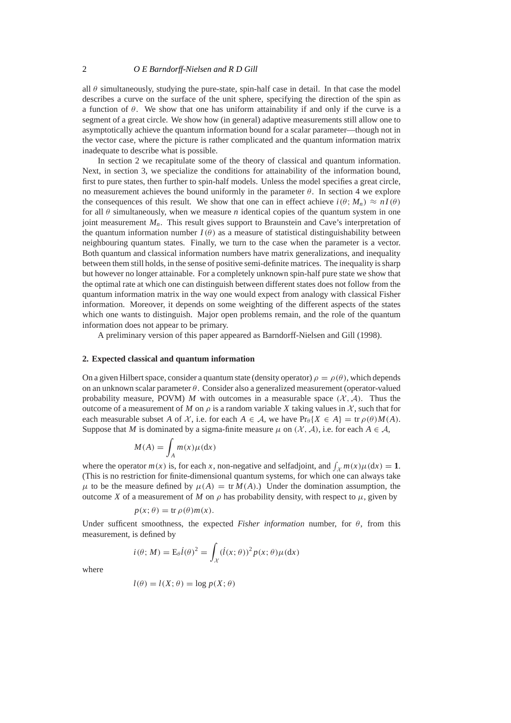all  $\theta$  simultaneously, studying the pure-state, spin-half case in detail. In that case the model describes a curve on the surface of the unit sphere, specifying the direction of the spin as a function of  $\theta$ . We show that one has uniform attainability if and only if the curve is a segment of a great circle. We show how (in general) adaptive measurements still allow one to asymptotically achieve the quantum information bound for a scalar parameter—though not in the vector case, where the picture is rather complicated and the quantum information matrix inadequate to describe what is possible.

In section 2 we recapitulate some of the theory of classical and quantum information. Next, in section 3, we specialize the conditions for attainability of the information bound, first to pure states, then further to spin-half models. Unless the model specifies a great circle, no measurement achieves the bound uniformly in the parameter  $θ$ . In section 4 we explore the consequences of this result. We show that one can in effect achieve  $i(\theta; M_n) \approx nI(\theta)$ for all  $\theta$  simultaneously, when we measure *n* identical copies of the quantum system in one joint measurement  $M_n$ . This result gives support to Braunstein and Cave's interpretation of the quantum information number  $I(\theta)$  as a measure of statistical distinguishability between neighbouring quantum states. Finally, we turn to the case when the parameter is a vector. Both quantum and classical information numbers have matrix generalizations, and inequality between them still holds, in the sense of positive semi-definite matrices. The inequality is sharp but however no longer attainable. For a completely unknown spin-half pure state we show that the optimal rate at which one can distinguish between different states does not follow from the quantum information matrix in the way one would expect from analogy with classical Fisher information. Moreover, it depends on some weighting of the different aspects of the states which one wants to distinguish. Major open problems remain, and the role of the quantum information does not appear to be primary.

A preliminary version of this paper appeared as Barndorff-Nielsen and Gill (1998).

### **2. Expected classical and quantum information**

On a given Hilbert space, consider a quantum state (density operator)  $\rho = \rho(\theta)$ , which depends on an unknown scalar parameter  $\theta$ . Consider also a generalized measurement (operator-valued probability measure, POVM) *M* with outcomes in a measurable space  $(X, A)$ . Thus the outcome of a measurement of M on  $\rho$  is a random variable X taking values in X, such that for each measurable subset *A* of *X*, i.e. for each  $A \in \mathcal{A}$ , we have  $Pr_{\theta} \{ X \in A \} = tr \rho(\theta) M(A)$ . Suppose that *M* is dominated by a sigma-finite measure  $\mu$  on (X, A), i.e. for each  $A \in \mathcal{A}$ ,

$$
M(A) = \int_A m(x)\mu(\mathrm{d}x)
$$

where the operator  $m(x)$  is, for each *x*, non-negative and selfadjoint, and  $\int_{\mathcal{X}} m(x) \mu(dx) = 1$ . (This is no restriction for finite-dimensional quantum systems, for which one can always take  $\mu$  to be the measure defined by  $\mu(A) = \text{tr } M(A)$ .) Under the domination assumption, the outcome *X* of a measurement of *M* on  $\rho$  has probability density, with respect to  $\mu$ , given by

$$
p(x; \theta) = \text{tr}\,\rho(\theta)m(x).
$$

Under sufficent smoothness, the expected *Fisher information* number, for  $\theta$ , from this measurement, is defined by

$$
i(\theta; M) = \mathcal{E}_{\theta} \dot{l}(\theta)^2 = \int_{\mathcal{X}} (\dot{l}(x; \theta))^2 p(x; \theta) \mu(\mathrm{d}x)
$$

where

$$
l(\theta) = l(X; \theta) = \log p(X; \theta)
$$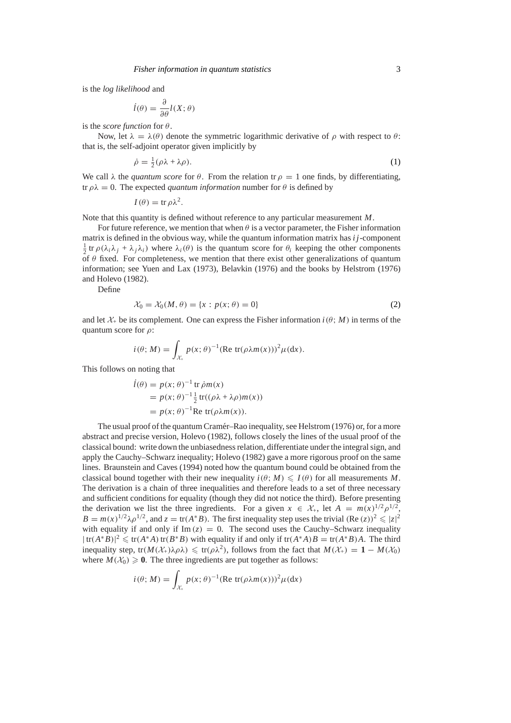is the *log likelihood* and

$$
\dot{l}(\theta) = \frac{\partial}{\partial \theta} l(X; \theta)
$$

is the *score function* for θ.

Now, let  $\lambda = \lambda(\theta)$  denote the symmetric logarithmic derivative of  $\rho$  with respect to  $\theta$ : that is, the self-adjoint operator given implicitly by

$$
\dot{\rho} = \frac{1}{2}(\rho \lambda + \lambda \rho). \tag{1}
$$

We call  $\lambda$  the *quantum score* for  $\theta$ . From the relation tr  $\rho = 1$  one finds, by differentiating, tr  $\rho \lambda = 0$ . The expected *quantum information* number for  $\theta$  is defined by

$$
I(\theta) = \text{tr}\,\rho\lambda^2.
$$

Note that this quantity is defined without reference to any particular measurement *M*.

For future reference, we mention that when  $\theta$  is a vector parameter, the Fisher information matrix is defined in the obvious way, while the quantum information matrix has  $i_j$ -component  $\frac{1}{2}$  tr  $\rho(\lambda_i \lambda_j + \lambda_j \lambda_i)$  where  $\lambda_i(\theta)$  is the quantum score for  $\theta_i$  keeping the other components of  $\theta$  fixed. For completeness, we mention that there exist other generalizations of quantum information; see Yuen and Lax (1973), Belavkin (1976) and the books by Helstrom (1976) and Holevo (1982).

Define

$$
\mathcal{X}_0 = \mathcal{X}_0(M, \theta) = \{x : p(x; \theta) = 0\}
$$
 (2)

and let  $\mathcal{X}_+$  be its complement. One can express the Fisher information  $i(\theta; M)$  in terms of the quantum score for  $\rho$ :

$$
i(\theta; M) = \int_{\mathcal{X}_+} p(x; \theta)^{-1} (\text{Re } \text{tr}(\rho \lambda m(x)))^2 \mu(dx).
$$

This follows on noting that

$$
\begin{aligned} \ni(\theta) &= p(x; \theta)^{-1} \operatorname{tr} \dot{\rho} m(x) \\ &= p(x; \theta)^{-1} \frac{1}{2} \operatorname{tr}((\rho \lambda + \lambda \rho) m(x)) \\ &= p(x; \theta)^{-1} \operatorname{Re} \operatorname{tr}(\rho \lambda m(x)). \end{aligned}
$$

The usual proof of the quantum Cramér–Rao inequality, see Helstrom (1976) or, for a more abstract and precise version, Holevo (1982), follows closely the lines of the usual proof of the classical bound: write down the unbiasedness relation, differentiate under the integral sign, and apply the Cauchy–Schwarz inequality; Holevo (1982) gave a more rigorous proof on the same lines. Braunstein and Caves (1994) noted how the quantum bound could be obtained from the classical bound together with their new inequality  $i(\theta; M) \leq I(\theta)$  for all measurements M. The derivation is a chain of three inequalities and therefore leads to a set of three necessary and sufficient conditions for equality (though they did not notice the third). Before presenting the derivation we list the three ingredients. For a given  $x \in \mathcal{X}_+$ , let  $A = m(x)^{1/2} \rho^{1/2}$ ,  $B = m(x)^{1/2} \lambda \rho^{1/2}$ , and  $z = \text{tr}(A^*B)$ . The first inequality step uses the trivial  $(\text{Re}(z))^2 \leq |z|^2$ with equality if and only if  $\text{Im}(z) = 0$ . The second uses the Cauchy–Schwarz inequality  $|\text{tr}(A^*B)|^2$  ≤ tr( $A^*A$ )tr( $B^*B$ ) with equality if and only if tr( $A^*A$ ) $B = \text{tr}(A^*B)A$ . The third inequality step, tr( $M(\mathcal{X}_+) \lambda \rho \lambda$ )  $\leq$  tr( $\rho \lambda^2$ ), follows from the fact that  $M(\mathcal{X}_+) = 1 - M(\mathcal{X}_0)$ where  $M(\mathcal{X}_0) \ge 0$ . The three ingredients are put together as follows:

$$
i(\theta; M) = \int_{\mathcal{X}_+} p(x; \theta)^{-1} (\text{Re } \text{tr}(\rho \lambda m(x)))^2 \mu(dx)
$$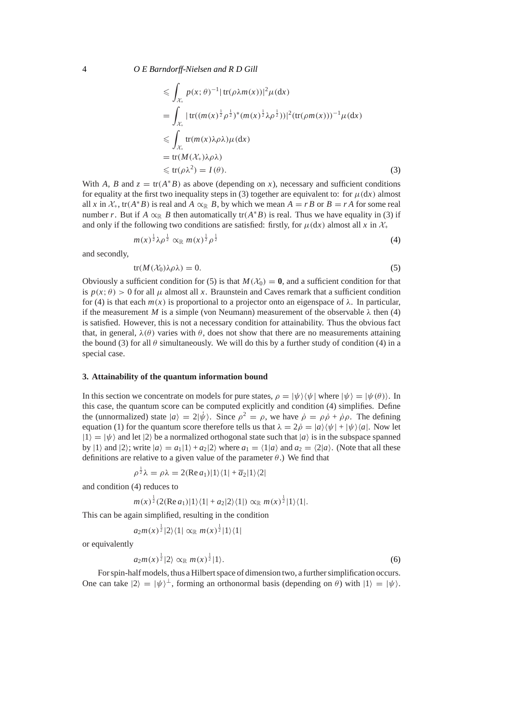$$
\leqslant \int_{\mathcal{X}_{+}} p(x;\theta)^{-1} |\operatorname{tr}(\rho\lambda m(x))|^{2} \mu(\mathrm{d}x)
$$
\n
$$
= \int_{\mathcal{X}_{+}} |\operatorname{tr}((m(x)^{\frac{1}{2}} \rho^{\frac{1}{2}})^{*} (m(x)^{\frac{1}{2}} \lambda \rho^{\frac{1}{2}}))|^{2} (\operatorname{tr}(\rho m(x)))^{-1} \mu(\mathrm{d}x)
$$
\n
$$
\leqslant \int_{\mathcal{X}_{+}} \operatorname{tr}(m(x)\lambda \rho \lambda) \mu(\mathrm{d}x)
$$
\n
$$
= \operatorname{tr}(M(\mathcal{X}_{+})\lambda \rho \lambda)
$$
\n
$$
\leqslant \operatorname{tr}(\rho \lambda^{2}) = I(\theta).
$$
\n(3)

With *A*, *B* and  $z = \text{tr}(A^*B)$  as above (depending on *x*), necessary and sufficient conditions for equality at the first two inequality steps in (3) together are equivalent to: for  $\mu(dx)$  almost all *x* in  $X_+$ , tr( $A^*B$ ) is real and  $A \propto_R B$ , by which we mean  $A = rB$  or  $B = rA$  for some real number *r*. But if  $A \propto_{\mathbb{R}} B$  then automatically tr( $A^*B$ ) is real. Thus we have equality in (3) if and only if the following two conditions are satisfied: firstly, for  $\mu(dx)$  almost all *x* in  $\mathcal{X}_+$ 

$$
m(x)^{\frac{1}{2}}\lambda\rho^{\frac{1}{2}} \propto_{\mathbb{R}} m(x)^{\frac{1}{2}}\rho^{\frac{1}{2}}
$$
 (4)

and secondly,

$$
tr(M(\mathcal{X}_0)\lambda \rho \lambda) = 0. \tag{5}
$$

Obviously a sufficient condition for (5) is that  $M(\mathcal{X}_0) = \mathbf{0}$ , and a sufficient condition for that is  $p(x; \theta) > 0$  for all  $\mu$  almost all x. Braunstein and Caves remark that a sufficient condition for (4) is that each  $m(x)$  is proportional to a projector onto an eigenspace of  $\lambda$ . In particular, if the measurement *M* is a simple (von Neumann) measurement of the observable  $\lambda$  then (4) is satisfied. However, this is not a necessary condition for attainability. Thus the obvious fact that, in general,  $\lambda(\theta)$  varies with  $\theta$ , does not show that there are no measurements attaining the bound (3) for all  $\theta$  simultaneously. We will do this by a further study of condition (4) in a special case.

### **3. Attainability of the quantum information bound**

In this section we concentrate on models for pure states,  $\rho = |\psi\rangle\langle\psi|$  where  $|\psi\rangle = |\psi(\theta)\rangle$ . In this case, the quantum score can be computed explicitly and condition (4) simplifies. Define the (unnormalized) state  $|a\rangle = 2|\dot{\psi}\rangle$ . Since  $\rho^2 = \rho$ , we have  $\dot{\rho} = \rho \dot{\rho} + \dot{\rho} \rho$ . The defining equation (1) for the quantum score therefore tells us that  $\lambda = 2\dot{\rho} = |a\rangle\langle\psi| + |\psi\rangle\langle a|$ . Now let  $|1\rangle=|\psi\rangle$  and let  $|2\rangle$  be a normalized orthogonal state such that  $|a\rangle$  is in the subspace spanned by  $|1\rangle$  and  $|2\rangle$ ; write  $|a\rangle = a_1|1\rangle + a_2|2\rangle$  where  $a_1 = \langle 1|a\rangle$  and  $a_2 = \langle 2|a\rangle$ . (Note that all these definitions are relative to a given value of the parameter  $\theta$ .) We find that

$$
\rho^{\frac{1}{2}}\lambda = \rho\lambda = 2(\text{Re}\,a_1)|1\rangle\langle 1| + \overline{a}_2|1\rangle\langle 2|
$$

and condition (4) reduces to

$$
m(x)^{\frac{1}{2}}(2(\text{Re }a_1)|1\rangle\langle 1|+a_2|2\rangle\langle 1|)\propto_{\mathbb{R}} m(x)^{\frac{1}{2}}|1\rangle\langle 1|.
$$

This can be again simplified, resulting in the condition

$$
a_2m(x)^{\frac{1}{2}}|2\rangle\langle 1| \propto_{\mathbb{R}} m(x)^{\frac{1}{2}}|1\rangle\langle 1|
$$

or equivalently

$$
a_2m(x)^{\frac{1}{2}}|2\rangle \propto_{\mathbb{R}} m(x)^{\frac{1}{2}}|1\rangle. \tag{6}
$$

For spin-half models, thus a Hilbert space of dimension two, a further simplification occurs. One can take  $|2\rangle = |\psi\rangle^{\perp}$ , forming an orthonormal basis (depending on  $\theta$ ) with  $|1\rangle = |\psi\rangle$ .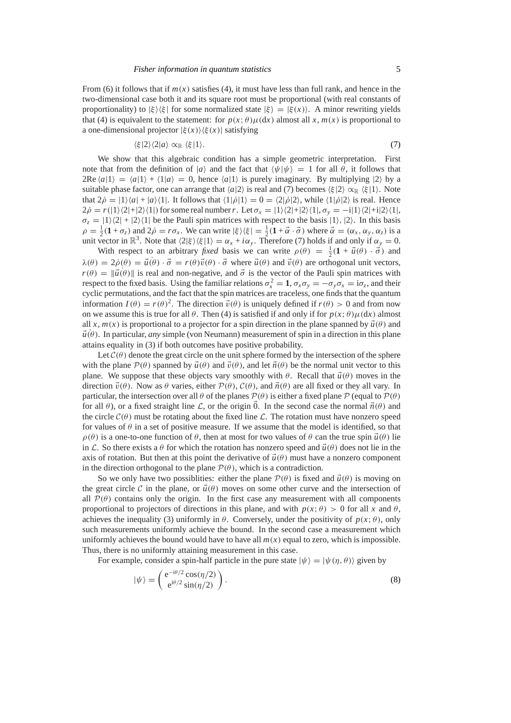From (6) it follows that if  $m(x)$  satisfies (4), it must have less than full rank, and hence in the two-dimensional case both it and its square root must be proportional (with real constants of proportionality) to  $|\xi\rangle\langle\xi|$  for some normalized state  $|\xi\rangle=|\xi(x)\rangle$ . A minor rewriting yields that (4) is equivalent to the statement: for  $p(x; \theta) \mu(dx)$  almost all x,  $m(x)$  is proportional to a one-dimensional projector  $|\xi(x)\rangle\langle\xi(x)|$  satisfying

$$
\langle \xi | 2 \rangle \langle 2 | a \rangle \propto_{\mathbb{R}} \langle \xi | 1 \rangle. \tag{7}
$$

We show that this algebraic condition has a simple geometric interpretation. First note that from the definition of |*a*) and the fact that  $\langle \psi | \psi \rangle = 1$  for all  $\theta$ , it follows that 2Re  $\langle a|1\rangle = \langle a|1\rangle + \langle 1|a\rangle = 0$ , hence  $\langle a|1\rangle$  is purely imaginary. By multiplying  $|2\rangle$  by a suitable phase factor, one can arrange that  $\langle a|2 \rangle$  is real and (7) becomes  $\langle \xi |2 \rangle \propto_{\mathbb{R}} \langle \xi |1 \rangle$ . Note that  $2\dot{\rho} = |1\rangle\langle a| + |a\rangle\langle 1|$ . It follows that  $\langle 1|\dot{\rho}|1\rangle = 0 = \langle 2|\dot{\rho}|2\rangle$ , while  $\langle 1|\dot{\rho}|2\rangle$  is real. Hence  $2\dot{\rho} = r(|1\rangle\langle2|+|2\rangle\langle1|)$  for some real number *r*. Let  $\sigma_x = |1\rangle\langle2|+|2\rangle\langle1|, \sigma_y = -i|1\rangle\langle2|+i|2\rangle\langle1|,$  $\sigma_z = |1\rangle\langle2| + |2\rangle\langle1|$  be the Pauli spin matrices with respect to the basis  $|1\rangle$ ,  $|2\rangle$ . In this basis  $\rho = \frac{1}{2}(\mathbf{1} + \sigma_z)$  and  $2\rho = r\sigma_x$ . We can write  $|\xi\rangle\langle \xi| = \frac{1}{2}(\mathbf{1} + \vec{\alpha} \cdot \vec{\sigma})$  where  $\vec{\alpha} = (\alpha_x, \alpha_y, \alpha_z)$  is a unit vector in  $\mathbb{R}^3$ . Note that  $\langle 2|\xi\rangle\langle \xi|1\rangle = \alpha_x + i\alpha_y$ . Therefore (7) holds if and only if  $\alpha_y = 0$ .

With respect to an arbitrary *fixed* basis we can write  $\rho(\theta) = \frac{1}{2}(\mathbf{1} + \vec{u}(\theta) \cdot \vec{\sigma})$  and  $\lambda(\theta) = 2\rho(\theta) = \vec{u}(\theta) \cdot \vec{\sigma} = r(\theta)\vec{v}(\theta) \cdot \vec{\sigma}$  where  $\vec{u}(\theta)$  and  $\vec{v}(\theta)$  are orthogonal unit vectors,  $r(\theta) = ||\vec{u}(\theta)||$  is real and non-negative, and  $\vec{\sigma}$  is the vector of the Pauli spin matrices with respect to the fixed basis. Using the familiar relations  $\sigma_x^2 = 1$ ,  $\sigma_x \sigma_y = -\sigma_y \sigma_x = i\sigma_z$ , and their cyclic permutations, and the fact that the spin matrices are traceless, one finds that the quantum information  $I(\theta) = r(\theta)^2$ . The direction  $\vec{v}(\theta)$  is uniquely defined if  $r(\theta) > 0$  and from now on we assume this is true for all  $\theta$ . Then (4) is satisfied if and only if for  $p(x; \theta) \mu(dx)$  almost all x,  $m(x)$  is proportional to a projector for a spin direction in the plane spanned by  $\vec{u}(\theta)$  and  $\vec{u}(\theta)$ . In particular, *any* simple (von Neumann) measurement of spin in a direction in this plane attains equality in (3) if both outcomes have positive probability.

Let  $\mathcal{C}(\theta)$  denote the great circle on the unit sphere formed by the intersection of the sphere with the plane  $\mathcal{P}(\theta)$  spanned by  $\vec{u}(\theta)$  and  $\vec{v}(\theta)$ , and let  $\vec{n}(\theta)$  be the normal unit vector to this plane. We suppose that these objects vary smoothly with  $\theta$ . Recall that  $\vec{u}(\theta)$  moves in the direction  $\vec{v}(\theta)$ . Now as  $\theta$  varies, either  $\mathcal{P}(\theta)$ ,  $\mathcal{C}(\theta)$ , and  $\vec{n}(\theta)$  are all fixed or they all vary. In particular, the intersection over all  $\theta$  of the planes  $\mathcal{P}(\theta)$  is either a fixed plane  $\mathcal{P}$  (equal to  $\mathcal{P}(\theta)$ ) for all  $\theta$ ), or a fixed straight line L, or the origin 0. In the second case the normal  $\vec{n}(\theta)$  and the circle  $C(\theta)$  must be rotating about the fixed line L. The rotation must have nonzero speed for values of  $\theta$  in a set of positive measure. If we assume that the model is identified, so that  $\rho(\theta)$  is a one-to-one function of  $\theta$ , then at most for two values of  $\theta$  can the true spin  $\vec{u}(\theta)$  lie in L. So there exists a  $\theta$  for which the rotation has nonzero speed and  $\vec{u}(\theta)$  does not lie in the axis of rotation. But then at this point the derivative of  $\vec{u}(\theta)$  must have a nonzero component in the direction orthogonal to the plane  $\mathcal{P}(\theta)$ , which is a contradiction.

So we only have two possibilities: either the plane  $\mathcal{P}(\theta)$  is fixed and  $\vec{u}(\theta)$  is moving on the great circle C in the plane, or  $\vec{u}(\theta)$  moves on some other curve and the intersection of all  $\mathcal{P}(\theta)$  contains only the origin. In the first case any measurement with all components proportional to projectors of directions in this plane, and with  $p(x; \theta) > 0$  for all *x* and  $\theta$ , achieves the inequality (3) uniformly in  $\theta$ . Conversely, under the positivity of  $p(x; \theta)$ , only such measurements uniformly achieve the bound. In the second case a measurement which uniformly achieves the bound would have to have all  $m(x)$  equal to zero, which is impossible. Thus, there is no uniformly attaining measurement in this case.

For example, consider a spin-half particle in the pure state  $|\psi\rangle = |\psi(\eta, \theta)\rangle$  given by

$$
|\psi\rangle = \begin{pmatrix} e^{-i\theta/2} \cos(\eta/2) \\ e^{i\theta/2} \sin(\eta/2) \end{pmatrix}.
$$
 (8)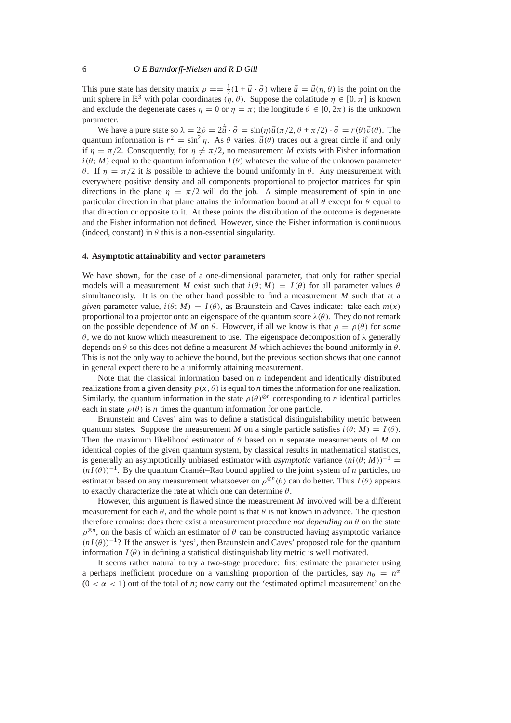This pure state has density matrix  $\rho = \frac{1}{2}(1 + \vec{u} \cdot \vec{\sigma})$  where  $\vec{u} = \vec{u}(\eta, \theta)$  is the point on the unit sphere in  $\mathbb{R}^3$  with polar coordinates  $(\eta, \theta)$ . Suppose the colatitude  $\eta \in [0, \pi]$  is known and exclude the degenerate cases  $\eta = 0$  or  $\eta = \pi$ ; the longitude  $\theta \in [0, 2\pi)$  is the unknown parameter.

We have a pure state so  $\lambda = 2\dot{\rho} = 2\dot{\vec{u}} \cdot \vec{\sigma} = \sin(\eta)\vec{u}(\pi/2, \theta + \pi/2) \cdot \vec{\sigma} = r(\theta)\vec{v}(\theta)$ . The quantum information is  $r^2 = \sin^2 \eta$ . As  $\theta$  varies,  $\vec{u}(\theta)$  traces out a great circle if and only if  $\eta = \pi/2$ . Consequently, for  $\eta \neq \pi/2$ , no measurement *M* exists with Fisher information  $i(\theta; M)$  equal to the quantum information  $I(\theta)$  whatever the value of the unknown parameter θ. If η = π/2 it *is* possible to achieve the bound uniformly in θ. Any measurement with everywhere positive density and all components proportional to projector matrices for spin directions in the plane  $\eta = \pi/2$  will do the job. A simple measurement of spin in one particular direction in that plane attains the information bound at all  $\theta$  except for  $\theta$  equal to that direction or opposite to it. At these points the distribution of the outcome is degenerate and the Fisher information not defined. However, since the Fisher information is continuous (indeed, constant) in  $\theta$  this is a non-essential singularity.

# **4. Asymptotic attainability and vector parameters**

We have shown, for the case of a one-dimensional parameter, that only for rather special models will a measurement *M* exist such that  $i(\theta; M) = I(\theta)$  for all parameter values  $\theta$ simultaneously. It is on the other hand possible to find a measurement *M* such that at a *given* parameter value,  $i(\theta; M) = I(\theta)$ , as Braunstein and Caves indicate: take each  $m(x)$ proportional to a projector onto an eigenspace of the quantum score  $\lambda(\theta)$ . They do not remark on the possible dependence of *M* on  $\theta$ . However, if all we know is that  $\rho = \rho(\theta)$  for *some* θ, we do not know which measurement to use. The eigenspace decomposition of λ generally depends on  $\theta$  so this does not define a measurent *M* which achieves the bound uniformly in  $\theta$ . This is not the only way to achieve the bound, but the previous section shows that one cannot in general expect there to be a uniformly attaining measurement.

Note that the classical information based on *n* independent and identically distributed realizations from a given density  $p(x, \theta)$  is equal to *n* times the information for one realization. Similarly, the quantum information in the state  $\rho(\theta)^{\otimes n}$  corresponding to *n* identical particles each in state  $\rho(\theta)$  is *n* times the quantum information for one particle.

Braunstein and Caves' aim was to define a statistical distinguishability metric between quantum states. Suppose the measurement *M* on a single particle satisfies  $i(\theta; M) = I(\theta)$ . Then the maximum likelihood estimator of θ based on *n* separate measurements of *M* on identical copies of the given quantum system, by classical results in mathematical statistics, is generally an asymptotically unbiased estimator with *asymptotic* variance  $(ni(\theta; M))^{-1}$  =  $(nI(\theta))^{-1}$ . By the quantum Cramér–Rao bound applied to the joint system of *n* particles, no estimator based on any measurement whatsoever on  $\rho^{\otimes n}(\theta)$  can do better. Thus *I*( $\theta$ ) appears to exactly characterize the rate at which one can determine  $\theta$ .

However, this argument is flawed since the measurement *M* involved will be a different measurement for each  $\theta$ , and the whole point is that  $\theta$  is not known in advance. The question therefore remains: does there exist a measurement procedure *not depending on* θ on the state  $\rho^{\otimes n}$ , on the basis of which an estimator of  $\theta$  can be constructed having asymptotic variance  $(nI(\theta))^{-1}$ ? If the answer is 'yes', then Braunstein and Caves' proposed role for the quantum information  $I(\theta)$  in defining a statistical distinguishability metric is well motivated.

It seems rather natural to try a two-stage procedure: first estimate the parameter using a perhaps inefficient procedure on a vanishing proportion of the particles, say  $n_0 = n^{\alpha}$  $(0 < \alpha < 1)$  out of the total of *n*; now carry out the 'estimated optimal measurement' on the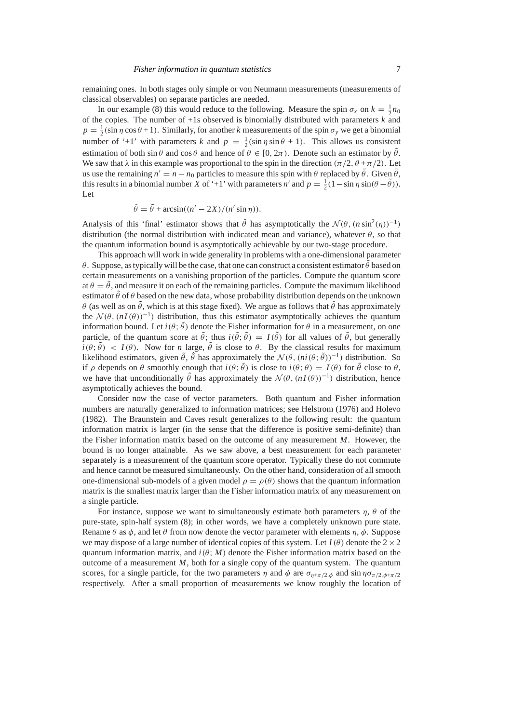remaining ones. In both stages only simple or von Neumann measurements (measurements of classical observables) on separate particles are needed.

In our example (8) this would reduce to the following. Measure the spin  $\sigma_x$  on  $k = \frac{1}{2}n_0$ of the copies. The number of  $+1s$  observed is binomially distributed with parameters  $k$  and  $p = \frac{1}{2}(\sin \eta \cos \theta + 1)$ . Similarly, for another *k* measurements of the spin  $\sigma_y$  we get a binomial number of '+1' with parameters *k* and  $p = \frac{1}{2} (\sin \eta \sin \theta + 1)$ . This allows us consistent estimation of both  $\sin \theta$  and  $\cos \theta$  and hence of  $\theta \in [0, 2\pi)$ . Denote such an estimator by  $\tilde{\theta}$ . We saw that  $\lambda$  in this example was proportional to the spin in the direction ( $\pi/2$ ,  $\theta + \pi/2$ ). Let us use the remaining  $n' = n - n_0$  particles to measure this spin with  $\theta$  replaced by  $\tilde{\theta}$ . Given  $\tilde{\theta}$ , this results in a binomial number *X* of '+1' with parameters *n'* and  $p = \frac{1}{2}(1 - \sin \eta \sin(\theta - \tilde{\theta}))$ . Let

$$
\hat{\theta} = \tilde{\theta} + \arcsin((n' - 2X)/(n' \sin \eta)).
$$

Analysis of this 'final' estimator shows that  $\hat{\theta}$  has asymptotically the  $\mathcal{N}(\theta, (n \sin^2(\eta))^{-1})$ distribution (the normal distribution with indicated mean and variance), whatever  $\theta$ , so that the quantum information bound is asymptotically achievable by our two-stage procedure.

This approach will work in wide generality in problems with a one-dimensional parameter θ. Suppose, as typically will be the case, that one can construct a consistent estimator θ based on certain measurements on a vanishing proportion of the particles. Compute the quantum score at  $\theta = \tilde{\theta}$ , and measure it on each of the remaining particles. Compute the maximum likelihood estimator  $\hat{\theta}$  of  $\theta$  based on the new data, whose probability distribution depends on the unknown  $θ$  (as well as on  $\tilde{θ}$ , which is at this stage fixed). We argue as follows that  $\hat{θ}$  has approximately the  $\mathcal{N}(\theta, (nI(\theta))^{-1})$  distribution, thus this estimator asymptotically achieves the quantum information bound. Let  $i(\theta; \tilde{\theta})$  denote the Fisher information for  $\theta$  in a measurement, on one particle, of the quantum score at  $\tilde{\theta}$ ; thus  $i(\tilde{\theta}; \tilde{\theta}) = I(\tilde{\theta})$  for all values of  $\tilde{\theta}$ , but generally  $i(\theta; \tilde{\theta}) < I(\theta)$ . Now for *n* large,  $\tilde{\theta}$  is close to  $\theta$ . By the classical results for maximum likelihood estimators, given  $\tilde{\theta}$ ,  $\hat{\theta}$  has approximately the  $\mathcal{N}(\theta, (ni(\theta; \tilde{\theta}))^{-1})$  distribution. So if  $\rho$  depends on  $\theta$  smoothly enough that  $i(\theta; \tilde{\theta})$  is close to  $i(\theta; \theta) = I(\theta)$  for  $\tilde{\theta}$  close to  $\theta$ , we have that unconditionally  $\hat{\theta}$  has approximately the  $\mathcal{N}(\theta, (nI(\theta))^{-1})$  distribution, hence asymptotically achieves the bound.

Consider now the case of vector parameters. Both quantum and Fisher information numbers are naturally generalized to information matrices; see Helstrom (1976) and Holevo (1982). The Braunstein and Caves result generalizes to the following result: the quantum information matrix is larger (in the sense that the difference is positive semi-definite) than the Fisher information matrix based on the outcome of any measurement *M*. However, the bound is no longer attainable. As we saw above, a best measurement for each parameter separately is a measurement of the quantum score operator. Typically these do not commute and hence cannot be measured simultaneously. On the other hand, consideration of all smooth one-dimensional sub-models of a given model  $\rho = \rho(\theta)$  shows that the quantum information matrix is the smallest matrix larger than the Fisher information matrix of any measurement on a single particle.

For instance, suppose we want to simultaneously estimate both parameters  $\eta$ ,  $\theta$  of the pure-state, spin-half system (8); in other words, we have a completely unknown pure state. Rename  $\theta$  as  $\phi$ , and let  $\theta$  from now denote the vector parameter with elements  $\eta$ ,  $\phi$ . Suppose we may dispose of a large number of identical copies of this system. Let  $I(\theta)$  denote the  $2 \times 2$ quantum information matrix, and  $i(\theta; M)$  denote the Fisher information matrix based on the outcome of a measurement  $M$ , both for a single copy of the quantum system. The quantum scores, for a single particle, for the two parameters  $\eta$  and  $\phi$  are  $\sigma_{\eta+\pi/2,\phi}$  and sin  $\eta\sigma_{\pi/2,\phi+\pi/2}$ respectively. After a small proportion of measurements we know roughly the location of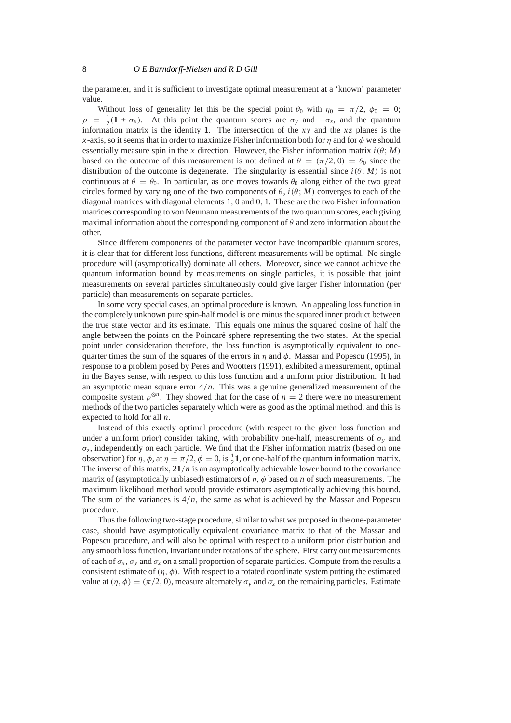the parameter, and it is sufficient to investigate optimal measurement at a 'known' parameter value.

Without loss of generality let this be the special point  $\theta_0$  with  $\eta_0 = \pi/2$ ,  $\phi_0 = 0$ ;  $\rho = \frac{1}{2} (1 + \sigma_x)$ . At this point the quantum scores are  $\sigma_y$  and  $-\sigma_z$ , and the quantum information matrix is the identity **1**. The intersection of the *xy* and the *xz* planes is the *x*-axis, so it seems that in order to maximize Fisher information both for *n* and for  $\phi$  we should essentially measure spin in the *x* direction. However, the Fisher information matrix  $i(\theta; M)$ based on the outcome of this measurement is not defined at  $\theta = (\pi/2, 0) = \theta_0$  since the distribution of the outcome is degenerate. The singularity is essential since  $i(\theta; M)$  is not continuous at  $\theta = \theta_0$ . In particular, as one moves towards  $\theta_0$  along either of the two great circles formed by varying one of the two components of  $\theta$ ,  $i(\theta; M)$  converges to each of the diagonal matrices with diagonal elements 1, 0 and 0, 1. These are the two Fisher information matrices corresponding to von Neumann measurements of the two quantum scores, each giving maximal information about the corresponding component of  $\theta$  and zero information about the other.

Since different components of the parameter vector have incompatible quantum scores, it is clear that for different loss functions, different measurements will be optimal. No single procedure will (asymptotically) dominate all others. Moreover, since we cannot achieve the quantum information bound by measurements on single particles, it is possible that joint measurements on several particles simultaneously could give larger Fisher information (per particle) than measurements on separate particles.

In some very special cases, an optimal procedure is known. An appealing loss function in the completely unknown pure spin-half model is one minus the squared inner product between the true state vector and its estimate. This equals one minus the squared cosine of half the angle between the points on the Poincaré sphere representing the two states. At the special point under consideration therefore, the loss function is asymptotically equivalent to onequarter times the sum of the squares of the errors in  $\eta$  and  $\phi$ . Massar and Popescu (1995), in response to a problem posed by Peres and Wootters (1991), exhibited a measurement, optimal in the Bayes sense, with respect to this loss function and a uniform prior distribution. It had an asymptotic mean square error  $4/n$ . This was a genuine generalized measurement of the composite system  $\rho^{\otimes n}$ . They showed that for the case of  $n = 2$  there were no measurement methods of the two particles separately which were as good as the optimal method, and this is expected to hold for all *n*.

Instead of this exactly optimal procedure (with respect to the given loss function and under a uniform prior) consider taking, with probability one-half, measurements of  $\sigma_y$  and  $\sigma_z$ , independently on each particle. We find that the Fisher information matrix (based on one observation) for  $\eta$ ,  $\phi$ , at  $\eta = \pi/2$ ,  $\phi = 0$ , is  $\frac{1}{2}$ **1**, or one-half of the quantum information matrix. The inverse of this matrix, 2**1**/*n* is an asymptotically achievable lower bound to the covariance matrix of (asymptotically unbiased) estimators of  $\eta$ ,  $\phi$  based on *n* of such measurements. The maximum likelihood method would provide estimators asymptotically achieving this bound. The sum of the variances is  $4/n$ , the same as what is achieved by the Massar and Popescu procedure.

Thus the following two-stage procedure, similar to what we proposed in the one-parameter case, should have asymptotically equivalent covariance matrix to that of the Massar and Popescu procedure, and will also be optimal with respect to a uniform prior distribution and any smooth loss function, invariant under rotations of the sphere. First carry out measurements of each of  $\sigma_r$ ,  $\sigma_y$  and  $\sigma_z$  on a small proportion of separate particles. Compute from the results a consistent estimate of  $(\eta, \phi)$ . With respect to a rotated coordinate system putting the estimated value at  $(\eta, \phi) = (\pi/2, 0)$ , measure alternately  $\sigma_y$  and  $\sigma_z$  on the remaining particles. Estimate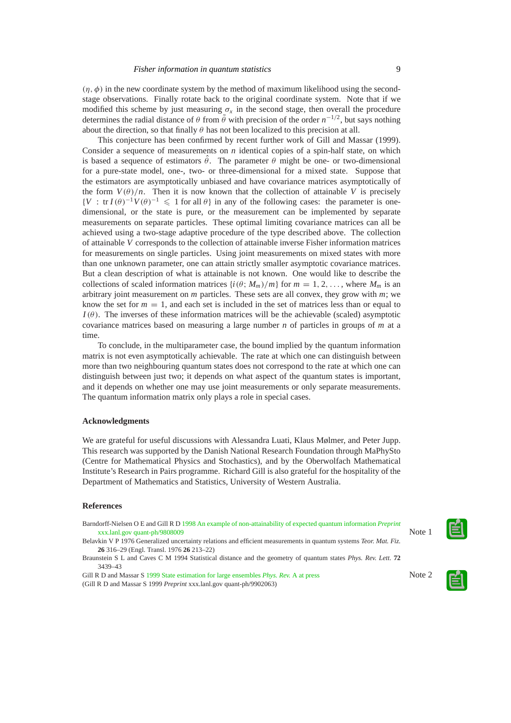$(\eta, \phi)$  in the new coordinate system by the method of maximum likelihood using the secondstage observations. Finally rotate back to the original coordinate system. Note that if we modified this scheme by just measuring  $\sigma_x$  in the second stage, then overall the procedure determines the radial distance of  $\theta$  from  $\bar{\theta}$  with precision of the order  $n^{-1/2}$ , but says nothing about the direction, so that finally  $\theta$  has not been localized to this precision at all.

This conjecture has been confirmed by recent further work of Gill and Massar (1999). Consider a sequence of measurements on  $n$  identical copies of a spin-half state, on which is based a sequence of estimators  $\hat{\theta}$ . The parameter  $\theta$  might be one- or two-dimensional for a pure-state model, one-, two- or three-dimensional for a mixed state. Suppose that the estimators are asymptotically unbiased and have covariance matrices asymptotically of the form  $V(\theta)/n$ . Then it is now known that the collection of attainable V is precisely  ${V : tr I(\theta)^{-1}V(\theta)^{-1} \leq 1$  for all  $\theta$ } in any of the following cases: the parameter is onedimensional, or the state is pure, or the measurement can be implemented by separate measurements on separate particles. These optimal limiting covariance matrices can all be achieved using a two-stage adaptive procedure of the type described above. The collection of attainable *V* corresponds to the collection of attainable inverse Fisher information matrices for measurements on single particles. Using joint measurements on mixed states with more than one unknown parameter, one can attain strictly smaller asymptotic covariance matrices. But a clean description of what is attainable is not known. One would like to describe the collections of scaled information matrices  $\{i(\theta; M_m)/m\}$  for  $m = 1, 2, \ldots$ , where  $M_m$  is an arbitrary joint measurement on *m* particles. These sets are all convex, they grow with *m*; we know the set for  $m = 1$ , and each set is included in the set of matrices less than or equal to  $I(\theta)$ . The inverses of these information matrices will be the achievable (scaled) asymptotic covariance matrices based on measuring a large number *n* of particles in groups of *m* at a time.

To conclude, in the multiparameter case, the bound implied by the quantum information matrix is not even asymptotically achievable. The rate at which one can distinguish between more than two neighbouring quantum states does not correspond to the rate at which one can distinguish between just two; it depends on what aspect of the quantum states is important, and it depends on whether one may use joint measurements or only separate measurements. The quantum information matrix only plays a role in special cases.

# **Acknowledgments**

We are grateful for useful discussions with Alessandra Luati, Klaus Mølmer, and Peter Jupp. This research was supported by the Danish National Research Foundation through MaPhySto (Centre for Mathematical Physics and Stochastics), and by the Oberwolfach Mathematical Institute's Research in Pairs programme. Richard Gill is also grateful for the hospitality of the Department of Mathematics and Statistics, University of Western Australia.

#### **References**

| Barndorff-Nielsen O E and Gill R D 1998 An example of non-attainability of expected quantum information <i>Preprint</i> |        |
|-------------------------------------------------------------------------------------------------------------------------|--------|
| xxx.lanl.gov quant-ph/9808009                                                                                           | Note 1 |
| Belavkin V P 1976 Generalized uncertainty relations and efficient measurements in quantum systems Teor. Mat. Fiz.       |        |
| 26 316–29 (Engl. Transl. 1976 26 213–22)                                                                                |        |
| Braunstein S L and Caves C M 1994 Statistical distance and the geometry of quantum states <i>Phys. Rev. Lett.</i> 72    |        |
| 3439-43                                                                                                                 |        |
| Gill R D and Massar S 1999 State estimation for large ensembles <i>Phys. Rev.</i> A at press                            | Note 2 |
| (Gill R D and Massar S 1999 Preprint xxx.lanl.gov quant-ph/9902063)                                                     |        |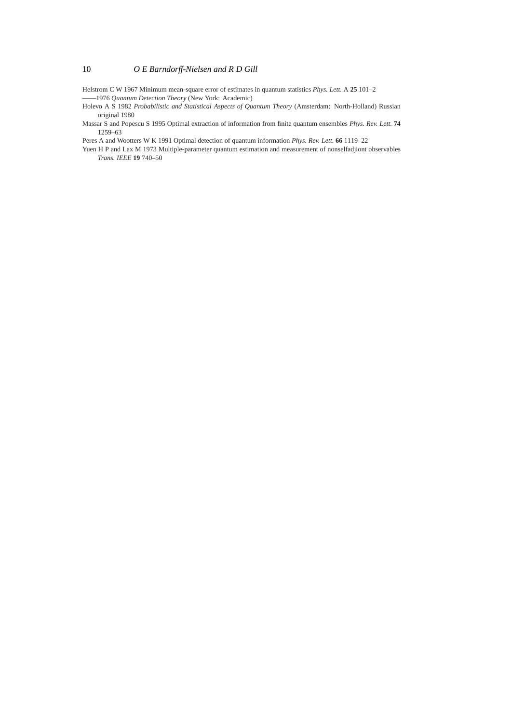Helstrom C W 1967 Minimum mean-square error of estimates in quantum statistics *Phys. Lett.* A **25** 101–2 ——1976 *Quantum Detection Theory* (New York: Academic)

- Holevo A S 1982 *Probabilistic and Statistical Aspects of Quantum Theory* (Amsterdam: North-Holland) Russian original 1980
- Massar S and Popescu S 1995 Optimal extraction of information from finite quantum ensembles *Phys. Rev. Lett.* **74** 1259–63

Peres A and Wootters W K 1991 Optimal detection of quantum information *Phys. Rev. Lett.* **66** 1119–22

Yuen H P and Lax M 1973 Multiple-parameter quantum estimation and measurement of nonselfadjiont observables *Trans. IEEE* **19** 740–50